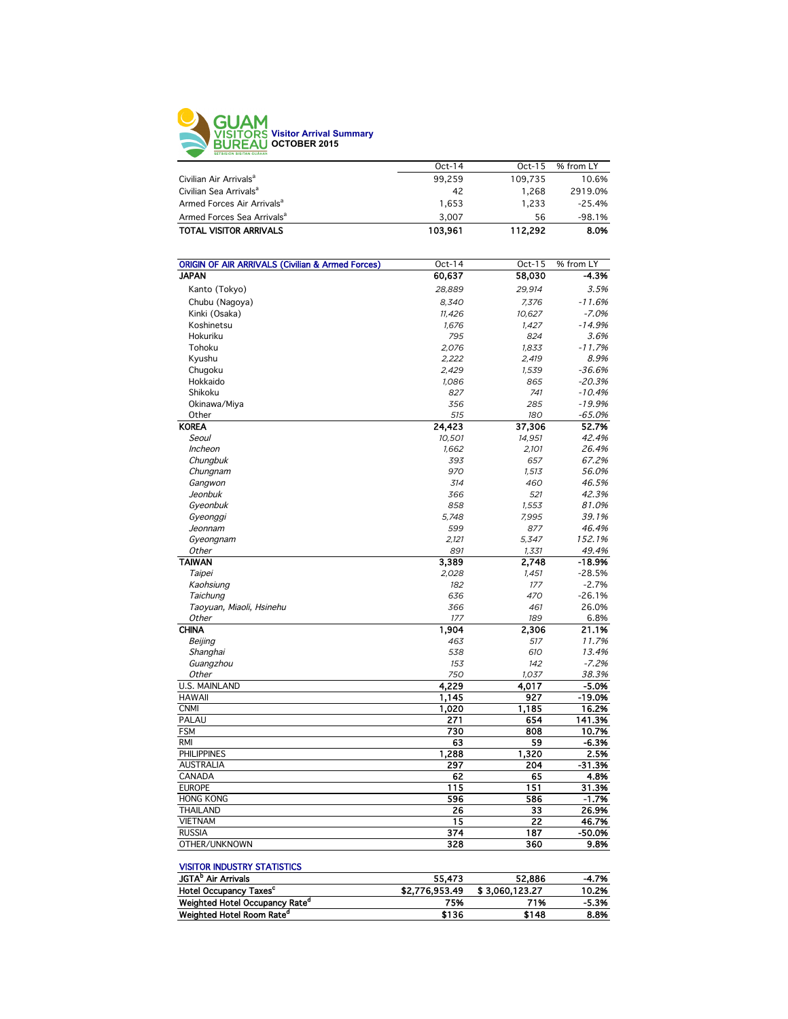

|                                        | $Oct-14$ | $Oct-15$ | % from LY |
|----------------------------------------|----------|----------|-----------|
| Civilian Air Arrivals <sup>a</sup>     | 99.259   | 109.735  | 10.6%     |
| Civilian Sea Arrivals <sup>a</sup>     | 42       | 1.268    | 2919.0%   |
| Armed Forces Air Arrivals <sup>a</sup> | 1.653    | 1.233    | $-25.4%$  |
| Armed Forces Sea Arrivals <sup>a</sup> | 3.007    | 56       | $-98.1%$  |
| <b>TOTAL VISITOR ARRIVALS</b>          | 103.961  | 112.292  | 8.0%      |
|                                        |          |          |           |

| <b>ORIGIN OF AIR ARRIVALS (Civilian &amp; Armed Forces)</b> | Oct-14       | Oct-15 | % from LY |
|-------------------------------------------------------------|--------------|--------|-----------|
| <b>JAPAN</b>                                                | 60,637       | 58,030 | -4.3%     |
| Kanto (Tokyo)                                               | 28,889       | 29,914 | 3.5%      |
| Chubu (Nagoya)                                              | 8.340        | 7,376  | $-11.6%$  |
| Kinki (Osaka)                                               | 11.426       | 10.627 | $-7.0%$   |
| Koshinetsu                                                  | 1,676        | 1,427  | $-14.9%$  |
| Hokuriku                                                    |              | 824    | 3.6%      |
| Tohoku                                                      | 795<br>2,076 | 1.833  | $-11.7%$  |
| Kyushu                                                      |              |        | 8.9%      |
|                                                             | 2,222        | 2,419  | $-36.6%$  |
| Chugoku                                                     | 2,429        | 1,539  |           |
| Hokkaido                                                    | 1,086        | 865    | $-20.3%$  |
| Shikoku                                                     | 827          | 741    | $-10.4%$  |
| Okinawa/Miya                                                | 356          | 285    | $-19.9%$  |
| Other                                                       | 515          | 180    | $-65.0%$  |
| <b>KOREA</b>                                                | 24,423       | 37,306 | 52.7%     |
| Seoul                                                       | 10,501       | 14,951 | 42.4%     |
| Incheon                                                     | 1,662        | 2,101  | 26.4%     |
| Chungbuk                                                    | 393          | 657    | 67.2%     |
| Chungnam                                                    | 970          | 1,513  | 56.0%     |
| Gangwon                                                     | 314          | 460    | 46.5%     |
| Jeonbuk                                                     | 366          | 521    | 42.3%     |
| Gyeonbuk                                                    | 858          | 1,553  | 81.0%     |
| Gyeonggi                                                    | 5,748        | 7,995  | 39.1%     |
| Jeonnam                                                     | 599          | 877    | 46.4%     |
| Gyeongnam                                                   | 2,121        | 5,347  | 152.1%    |
| Other                                                       | 891          | 1,331  | 49.4%     |
| <b>TAIWAN</b>                                               | 3,389        | 2,748  | $-18.9%$  |
| Taipei                                                      | 2,028        | 1,451  | $-28.5%$  |
| Kaohsiung                                                   | 182          | 177    | $-2.7%$   |
| Taichung                                                    | 636          | 470    | $-26.1%$  |
| Taoyuan, Miaoli, Hsinehu                                    | 366          | 461    | 26.0%     |
| <b>Other</b>                                                | 177          | 189    | 6.8%      |
| <b>CHINA</b>                                                | 1,904        | 2,306  | 21.1%     |
| Beijing                                                     | 463          | 517    | 11.7%     |
| Shanghai                                                    | 538          | 610    | 13.4%     |
| Guangzhou                                                   | 153          | 142    | $-7.2%$   |
| Other                                                       | 750          | 1,037  | 38.3%     |
| <b>U.S. MAINLAND</b>                                        | 4.229        | 4,017  | $-5.0%$   |
| <b>HAWAII</b>                                               | 1,145        | 927    | $-19.0%$  |
| <b>CNMI</b>                                                 | 1,020        | 1,185  | 16.2%     |
| PALAU                                                       | 271          | 654    | 141.3%    |
| <b>FSM</b>                                                  | 730          | 808    | 10.7%     |
| <b>RMI</b>                                                  | 63           | 59     | $-6.3%$   |
| <b>PHILIPPINES</b>                                          | 1,288        | 1,320  | 2.5%      |
| <b>AUSTRALIA</b>                                            | 297          | 204    | $-31.3%$  |
| CANADA                                                      | 62           | 65     | 4.8%      |
| <b>EUROPE</b>                                               | 115          | 151    | 31.3%     |
| <b>HONG KONG</b>                                            | 596          | 586    | $-1.7%$   |
| <b>THAILAND</b>                                             | 26           | 33     | 26.9%     |
| <b>VIETNAM</b>                                              | 15           | 22     | 46.7%     |
| <b>RUSSIA</b>                                               | 374          | 187    | -50.0%    |
| OTHER/UNKNOWN                                               | 328          | 360    | 9.8%      |
|                                                             |              |        |           |

## VISITOR INDUSTRY STATISTICS

| <b>JGTA</b> <sup>P</sup> Air Arrivals      | 55.473         | 52.886         | $-4.7%$ |
|--------------------------------------------|----------------|----------------|---------|
| Hotel Occupancy Taxes <sup>c</sup>         | \$2,776,953,49 | \$3.060.123.27 | 10.2%   |
| Weighted Hotel Occupancy Rate <sup>a</sup> | 75%            | 71%            | $-5.3%$ |
| Weighted Hotel Room Rate <sup>a</sup>      | \$136          | \$148          | 8.8%    |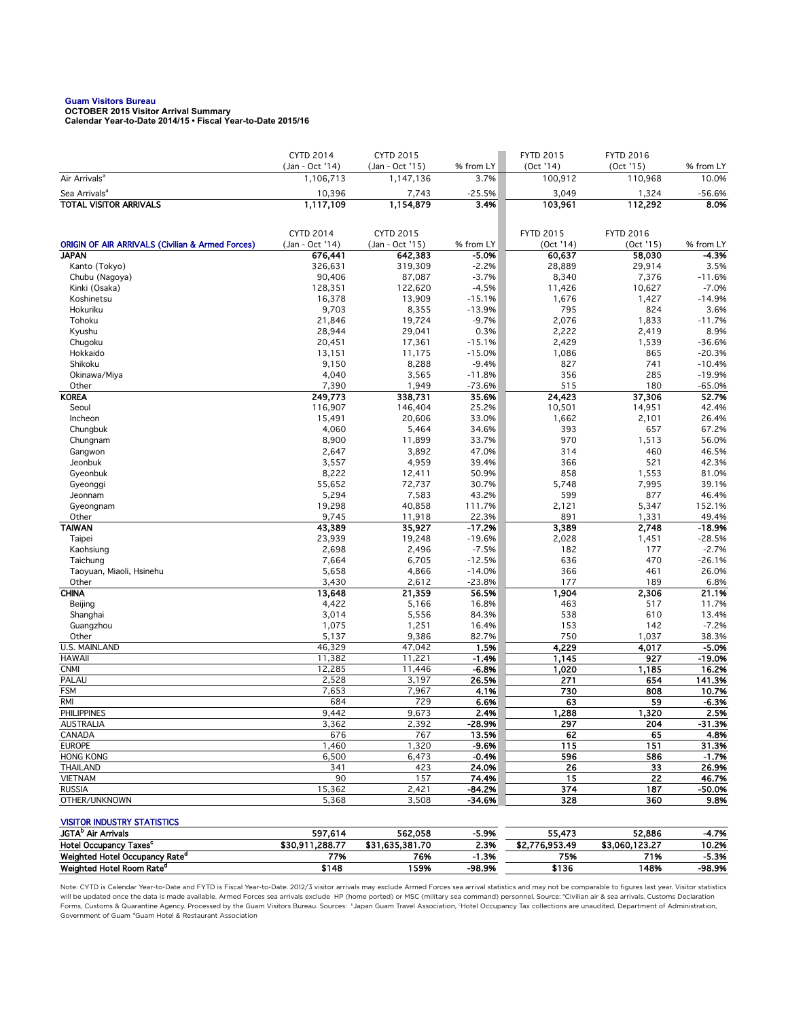## **Guam Visitors Bureau OCTOBER 2015 Visitor Arrival Summary**

**Calendar Year-to-Date 2014/15 • Fiscal Year-to-Date 2015/16** 

|                                                                             | <b>CYTD 2014</b>             | <b>CYTD 2015</b>             |                      | <b>FYTD 2015</b>     | <b>FYTD 2016</b>    |                      |
|-----------------------------------------------------------------------------|------------------------------|------------------------------|----------------------|----------------------|---------------------|----------------------|
| Air Arrivals <sup>a</sup>                                                   | (Jan - Oct '14)<br>1,106,713 | (Jan - Oct '15)<br>1,147,136 | % from LY<br>3.7%    | (Oct '14)<br>100,912 | (Oct 15)<br>110,968 | % from LY<br>10.0%   |
| Sea Arrivals <sup>a</sup>                                                   | 10,396                       | 7,743                        | $-25.5%$             | 3,049                | 1,324               | $-56.6%$             |
| <b>TOTAL VISITOR ARRIVALS</b>                                               | 1,117,109                    | 1,154,879                    | 3.4%                 | 103,961              | 112,292             | 8.0%                 |
|                                                                             |                              |                              |                      |                      |                     |                      |
|                                                                             |                              |                              |                      |                      |                     |                      |
|                                                                             | CYTD 2014                    | <b>CYTD 2015</b>             |                      | <b>FYTD 2015</b>     | <b>FYTD 2016</b>    | % from LY            |
| <b>ORIGIN OF AIR ARRIVALS (Civilian &amp; Armed Forces)</b><br><b>JAPAN</b> | (Jan - Oct '14)<br>676,441   | (Jan - Oct '15)<br>642,383   | % from LY<br>$-5.0%$ | (Oct '14)<br>60,637  | (Oct 15)<br>58,030  | -4.3%                |
| Kanto (Tokyo)                                                               | 326,631                      | 319,309                      | $-2.2%$              | 28,889               | 29,914              | 3.5%                 |
| Chubu (Nagoya)                                                              | 90,406                       | 87,087                       | $-3.7%$              | 8,340                | 7,376               | $-11.6%$             |
| Kinki (Osaka)                                                               | 128,351                      | 122,620                      | $-4.5%$              | 11,426               | 10,627              | $-7.0%$              |
| Koshinetsu                                                                  | 16,378                       | 13,909                       | $-15.1%$             | 1,676                | 1,427               | $-14.9%$             |
| Hokuriku                                                                    | 9,703                        | 8,355                        | $-13.9%$             | 795                  | 824                 | 3.6%                 |
| Tohoku                                                                      | 21,846                       | 19,724                       | $-9.7%$              | 2,076                | 1,833               | $-11.7%$             |
| Kyushu                                                                      | 28,944                       | 29,041                       | 0.3%                 | 2,222                | 2,419               | 8.9%                 |
| Chugoku                                                                     | 20,451                       | 17,361                       | $-15.1%$             | 2,429                | 1,539               | $-36.6%$             |
| Hokkaido<br>Shikoku                                                         | 13,151<br>9,150              | 11,175                       | $-15.0%$             | 1,086<br>827         | 865<br>741          | $-20.3%$<br>$-10.4%$ |
| Okinawa/Miya                                                                | 4,040                        | 8,288<br>3,565               | $-9.4%$<br>$-11.8%$  | 356                  | 285                 | $-19.9%$             |
| Other                                                                       | 7,390                        | 1,949                        | $-73.6%$             | 515                  | 180                 | $-65.0%$             |
| <b>KOREA</b>                                                                | 249,773                      | 338,731                      | 35.6%                | 24,423               | 37,306              | 52.7%                |
| Seoul                                                                       | 116,907                      | 146,404                      | 25.2%                | 10,501               | 14,951              | 42.4%                |
| Incheon                                                                     | 15,491                       | 20,606                       | 33.0%                | 1,662                | 2,101               | 26.4%                |
| Chungbuk                                                                    | 4,060                        | 5,464                        | 34.6%                | 393                  | 657                 | 67.2%                |
| Chungnam                                                                    | 8,900                        | 11,899                       | 33.7%                | 970                  | 1,513               | 56.0%                |
| Gangwon                                                                     | 2,647                        | 3,892                        | 47.0%                | 314                  | 460                 | 46.5%                |
| Jeonbuk                                                                     | 3,557                        | 4,959                        | 39.4%                | 366                  | 521                 | 42.3%                |
| Gyeonbuk                                                                    | 8,222                        | 12,411                       | 50.9%                | 858                  | 1,553               | 81.0%                |
| Gyeonggi                                                                    | 55,652                       | 72,737                       | 30.7%                | 5,748                | 7,995               | 39.1%                |
| Jeonnam                                                                     | 5,294                        | 7,583                        | 43.2%                | 599                  | 877                 | 46.4%                |
| Gyeongnam<br>Other                                                          | 19,298<br>9,745              | 40,858<br>11,918             | 111.7%<br>22.3%      | 2,121<br>891         | 5,347<br>1,331      | 152.1%<br>49.4%      |
| <b>TAIWAN</b>                                                               | 43,389                       | 35,927                       | $-17.2%$             | 3,389                | 2,748               | $-18.9%$             |
| Taipei                                                                      | 23,939                       | 19,248                       | $-19.6%$             | 2,028                | 1,451               | $-28.5%$             |
| Kaohsiung                                                                   | 2,698                        | 2,496                        | $-7.5%$              | 182                  | 177                 | $-2.7%$              |
| Taichung                                                                    | 7,664                        | 6,705                        | $-12.5%$             | 636                  | 470                 | $-26.1%$             |
| Taoyuan, Miaoli, Hsinehu                                                    | 5,658                        | 4,866                        | $-14.0%$             | 366                  | 461                 | 26.0%                |
| Other                                                                       | 3,430                        | 2,612                        | $-23.8%$             | 177                  | 189                 | 6.8%                 |
| <b>CHINA</b>                                                                | 13,648                       | 21,359                       | 56.5%                | 1,904                | 2,306               | 21.1%                |
| Beijing                                                                     | 4,422                        | 5,166                        | 16.8%                | 463                  | 517                 | 11.7%                |
| Shanghai                                                                    | 3,014                        | 5,556                        | 84.3%                | 538                  | 610                 | 13.4%                |
| Guangzhou                                                                   | 1,075<br>5,137               | 1,251<br>9,386               | 16.4%<br>82.7%       | 153<br>750           | 142<br>1,037        | $-7.2%$<br>38.3%     |
| Other<br>U.S. MAINLAND                                                      | 46,329                       | 47,042                       | 1.5%                 | 4,229                | 4,017               | $-5.0%$              |
| <b>HAWAII</b>                                                               | 11,382                       | 11,221                       | $-1.4%$              | 1,145                | 927                 | $-19.0%$             |
| <b>CNMI</b>                                                                 | 12,285                       | 11,446                       | $-6.8%$              | 1,020                | 1,185               | 16.2%                |
| PALAU                                                                       | 2,528                        | 3,197                        | 26.5%                | 271                  | 654                 | 141.3%               |
| <b>FSM</b>                                                                  | 7,653                        | 7,967                        | 4.1%                 | 730                  | 808                 | 10.7%                |
| RMI                                                                         | 684                          | 729                          | 6.6%                 | 63                   | 59                  | $-6.3%$              |
| <b>PHILIPPINES</b>                                                          | 9,442                        | 9,673                        | 2.4%                 | 1,288                | 1,320               | 2.5%                 |
| AUSTRALIA                                                                   | 3,362                        | 2,392                        | -28.9%               | 297                  | 204                 | -31.3%               |
| CANADA                                                                      | 676                          | 767                          | 13.5%                | 62                   | 65                  | 4.8%                 |
| <b>EUROPE</b><br><b>HONG KONG</b>                                           | 1,460                        | 1,320                        | $-9.6%$              | 115                  | 151                 | 31.3%                |
| <b>THAILAND</b>                                                             | 6,500<br>341                 | 6,473<br>423                 | $-0.4%$<br>24.0%     | 596<br>26            | 586<br>33           | $-1.7%$<br>26.9%     |
| <b>VIETNAM</b>                                                              | 90                           | 157                          | 74.4%                | 15                   | 22                  | 46.7%                |
| <b>RUSSIA</b>                                                               | 15,362                       | 2,421                        | $-84.2%$             | 374                  | 187                 | -50.0%               |
| OTHER/UNKNOWN                                                               | 5,368                        | 3,508                        | $-34.6%$             | 328                  | 360                 | 9.8%                 |
|                                                                             |                              |                              |                      |                      |                     |                      |
| <b>VISITOR INDUSTRY STATISTICS</b>                                          |                              |                              |                      |                      |                     |                      |
| JGTA <sup>b</sup> Air Arrivals                                              | 597,614                      | 562,058                      | $-5.9%$              | 55,473               | 52,886              | -4.7%                |
| Hotel Occupancy Taxes <sup>c</sup>                                          | \$30,911,288.77              | \$31,635,381.70              | 2.3%                 | \$2,776,953.49       | \$3,060,123.27      | 10.2%                |
| Weighted Hotel Occupancy Rate <sup>d</sup>                                  | 77%                          | 76%                          | $-1.3%$              | 75%                  | 71%                 | $-5.3%$              |
| Weighted Hotel Room Rate <sup>d</sup>                                       | \$148                        | 159%                         | -98.9%               | \$136                | 148%                | $-98.9%$             |

Note: CYTD is Calendar Year-to-Date and FYTD is Fiscal Year-to-Date. 2012/3 visitor arrivals may exclude Armed Forces sea arrival statistics and may not be comparable to figures last year. Visitor statistics will be updated once the data is made available. Armed Forces sea arrivals exclude HP (home ported) or MSC (military sea command) personnel. Source: °Civilian air & sea arrivals. Customs Declaration<br>Forms, Customs & Quaran Government of Guam dGuam Hotel & Restaurant Association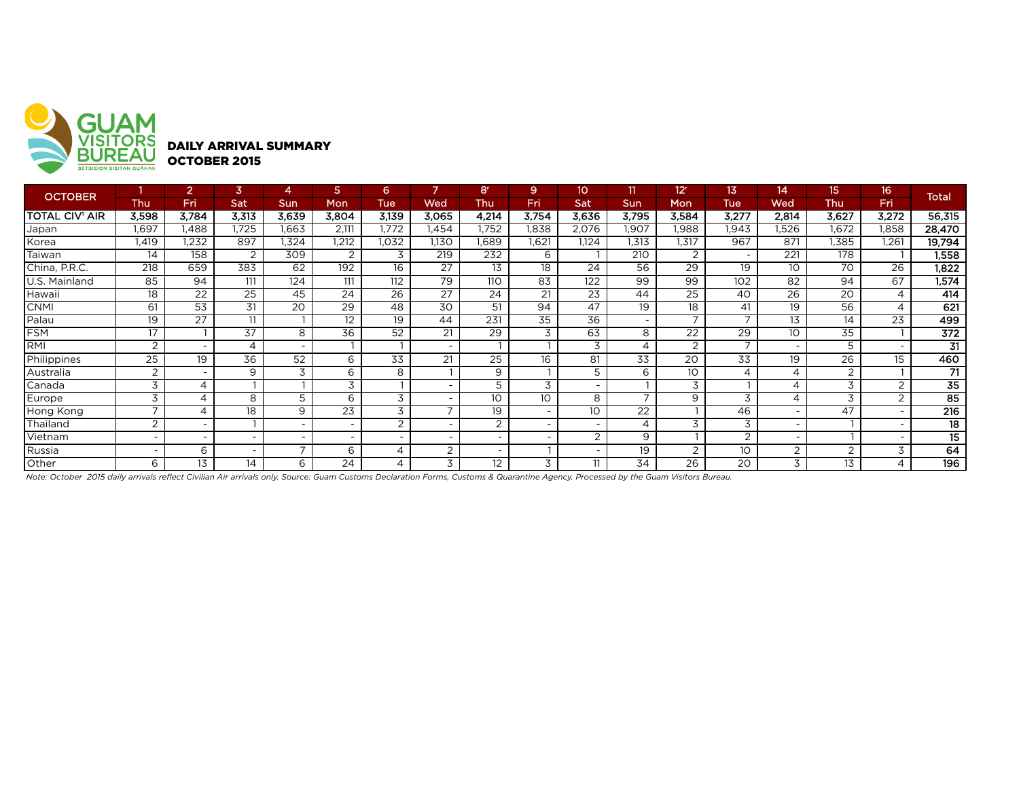

| <b>OCTOBER</b> |                          |                          | 3                        |                          |                          | 6                        | ь     | 8 <sup>r</sup> | 9                        | 10                       | 11                       | 12 <sup>r</sup>          | 13                       | 14                       | 15              | 16'                      | <b>Total</b>     |
|----------------|--------------------------|--------------------------|--------------------------|--------------------------|--------------------------|--------------------------|-------|----------------|--------------------------|--------------------------|--------------------------|--------------------------|--------------------------|--------------------------|-----------------|--------------------------|------------------|
|                | Thu                      | Fri                      | Sat                      | <b>Sun</b>               | Mon                      | <b>Tue</b>               | Wed   | Thu            | Fri                      | Sat                      | Sun                      | Mon                      | <b>Tue</b>               | Wed                      | <b>Thu</b>      | Fri                      |                  |
| TOTAL CIV' AIR | 3,598                    | 3,784                    | 3,313                    | 3,639                    | 3,804                    | 3,139                    | 3,065 | 4,214          | 3,754                    | 3,636                    | 3,795                    | 3,584                    | 3,277                    | 2,814                    | 3,627           | 3,272                    | 56,315           |
| Japan          | 1,697                    | .488                     | 1,725                    | .663                     | 2.111                    | .772                     | .454  | 1.752          | 1,838                    | 2,076                    | .907                     | .988                     | 1,943                    | .526                     | 1,672           | ,858                     | 28,470           |
| Korea          | 1,419                    | 1,232                    | 897                      | .324                     | 1,212                    | .032                     | 1,130 | 1,689          | 1,621                    | 1,124                    | 1,313                    | 1,317                    | 967                      | 871                      | 1,385           | 1,261                    | 19,794           |
| Taiwan         | 14                       | 158                      | 2                        | 309                      | 2                        | 3                        | 219   | 232            | 6                        |                          | 210                      | 2                        | $\overline{\phantom{a}}$ | 221                      | 178             |                          | 1,558            |
| China, P.R.C.  | 218                      | 659                      | 383                      | 62                       | 192                      | 16                       | 27    | 13             | 18                       | 24                       | 56                       | 29                       | 19                       | 10                       | 70              | 26                       | 1,822            |
| U.S. Mainland  | 85                       | 94                       | 111                      | 124                      | 111                      | 112                      | 79    | 110            | 83                       | 122                      | 99                       | 99                       | 102                      | 82                       | 94              | 67                       | 1,574            |
| Hawaii         | 18                       | 22                       | 25                       | 45                       | 24                       | 26                       | 27    | 24             | 21                       | 23                       | 44                       | 25                       | 40                       | $26^{\circ}$             | 20              | ⊿                        | 414              |
| <b>CNMI</b>    | 61                       | $\overline{53}$          | 31                       | 20                       | $\overline{29}$          | 48                       | 30    | 51             | 94                       | 47                       | 19                       | 18                       | 41                       | 19                       | 56              | $\overline{\mathcal{A}}$ | 621              |
| Palau          | 19                       | 27                       | 11                       |                          | 12                       | 19                       | 44    | 231            | $\overline{35}$          | 36                       | $\overline{\phantom{0}}$ | $\overline{\phantom{0}}$ | $\overline{\phantom{0}}$ | 13                       | 14              | 23                       | 499              |
| <b>FSM</b>     | 17                       |                          | $\overline{37}$          | 8                        | 36                       | 52                       | 21    | 29             | 3                        | 63                       | 8                        | 22                       | 29                       | 10 <sup>°</sup>          | $\overline{35}$ |                          | 372              |
| RMI            | 2                        | $\sim$                   | 4                        | $\overline{\phantom{0}}$ |                          |                          |       |                |                          | 3                        | 4                        | 2                        | $\overline{\phantom{a}}$ |                          | 5               |                          | $\overline{31}$  |
| Philippines    | 25                       | 19                       | 36                       | 52                       | 6                        | 33                       | 21    | 25             | 16                       | 81                       | 33                       | 20                       | 33                       | 19                       | 26              | 15                       | 460              |
| Australia      | $\overline{2}$           | $\sim$                   | 9                        | 3                        | 6                        | 8                        |       | 9              |                          |                          | 6                        | 10 <sup>°</sup>          | 4                        | 4                        | 2               |                          | 71               |
| Canada         | 3                        | 4                        |                          |                          | 3                        |                          |       | 5              | 3                        |                          |                          | 3                        |                          |                          | 3               | $\overline{2}$           | $\overline{35}$  |
| Europe         | 3                        | 4                        | 8                        | 5                        | 6                        | 3                        |       | 10             | 10                       | 8                        | $\overline{\phantom{0}}$ | 9                        | 3                        | 4                        | 3               | $\overline{2}$           | $\overline{85}$  |
| Hong Kong      | $\overline{ }$           | 4                        | 18                       | 9                        | 23                       | 3                        |       | 19             | $\overline{\phantom{a}}$ | 10                       | 22                       |                          | 46                       |                          | 47              |                          | $\overline{216}$ |
| Thailand       | $\overline{2}$           | $\overline{\phantom{0}}$ |                          | $\overline{\phantom{0}}$ |                          | 2                        |       | $\overline{2}$ |                          | $\overline{\phantom{0}}$ | 4                        | 3                        | 3                        |                          |                 |                          | 18               |
| Vietnam        | $\overline{\phantom{a}}$ | $\overline{\phantom{0}}$ | $\overline{\phantom{0}}$ | $\overline{\phantom{0}}$ | $\overline{\phantom{0}}$ | $\overline{\phantom{0}}$ |       |                |                          | $\overline{2}$           | 9                        |                          | 2                        | $\overline{\phantom{0}}$ |                 | $\overline{\phantom{a}}$ | 15               |
| Russia         | $\overline{\phantom{a}}$ | 6                        | $\overline{\phantom{a}}$ | –                        | 6                        | 4                        | ⌒     |                |                          |                          | 19                       | 2                        | 10                       | 2                        | 2               | 3                        | 64               |
| Other          | 6                        | 13                       | 14                       | 6                        | 24                       |                          | 3     | 12             | 3                        | 11                       | 34                       | 26                       | 20                       | 3                        | 13              |                          | 196              |

*Note: October 2015 daily arrivals reflect Civilian Air arrivals only. Source: Guam Customs Declaration Forms, Customs & Quarantine Agency. Processed by the Guam Visitors Bureau.*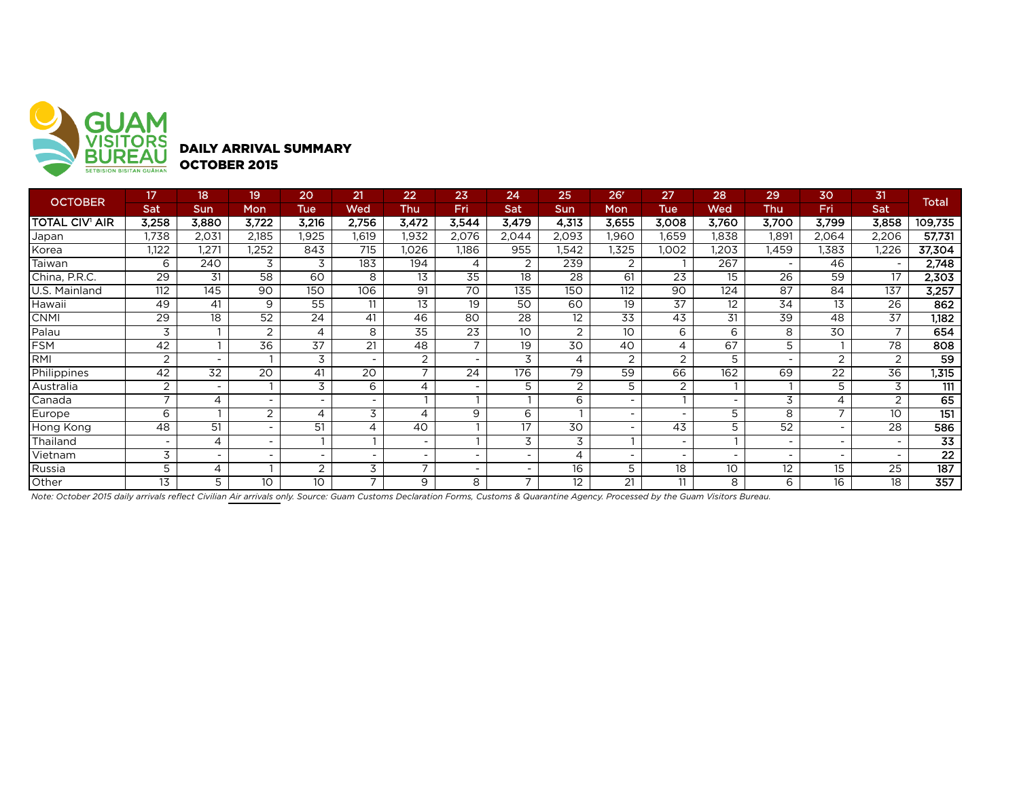

DAILY ARRIVAL SUMMARY OCTOBER 2015

| <b>OCTOBER</b>        | 17                       | 18 <sup>1</sup> | 19                       | 20                       | 21                       | 22                       | 23             | 24                       | 25             | 26 <sup>r</sup>          | 27                       | 28                       | 29    | 30             | 31              | Total            |
|-----------------------|--------------------------|-----------------|--------------------------|--------------------------|--------------------------|--------------------------|----------------|--------------------------|----------------|--------------------------|--------------------------|--------------------------|-------|----------------|-----------------|------------------|
|                       | Sat                      | Sun             | Mon                      | Tue                      | Wed                      | Thu                      | Fri            | Sat                      | <b>Sun</b>     | Mon                      | Tue                      | Wed                      | Thu   | Fri            | Sat             |                  |
| <b>TOTAL CIV' AIR</b> | 3,258                    | 3,880           | 3.722                    | 3,216                    | 2.756                    | 3,472                    | 3,544          | 3,479                    | 4,313          | 3,655                    | 3,008                    | 3,760                    | 3.700 | 3,799          | 3,858           | 109,735          |
| Japan                 | 1,738                    | 2,031           | 2,185                    | .925                     | 1,619                    | 1,932                    | 2,076          | 2,044                    | 2,093          | .960                     | .659                     | 1,838                    | .891  | 2,064          | 2,206           | 57,731           |
| Korea                 | 1,122                    | 1,271           | .252                     | 843                      | 715                      | I,026                    | 1.186          | 955                      | .542           | .325                     | ,002                     | 1,203                    | .459  | 1,383          | 1,226           | 37,304           |
| Taiwan                | 6                        | 240             | 3                        | 3                        | 183                      | 194                      | 4              | $\overline{2}$           | 239            | $\overline{2}$           |                          | 267                      |       | 46             |                 | 2,748            |
| China, P.R.C.         | 29                       | 31              | 58                       | 60                       | 8                        | 13                       | 35             | 18                       | 28             | 61                       | 23                       | 15                       | 26    | 59             | 17              | 2,303            |
| U.S. Mainland         | 112                      | 145             | 90                       | 150                      | 106                      | 91                       | 70             | 135                      | 150            | 112                      | 90                       | 124                      | 87    | 84             | 137             | 3,257            |
| Hawaii                | 49                       | 41              | 9                        | 55                       | 11                       | 13                       | 19             | 50                       | 60             | 19                       | 37                       | 12                       | 34    | 13             | 26              | 862              |
| <b>CNMI</b>           | 29                       | 18              | 52                       | 24                       | 41                       | 46                       | 80             | 28                       | 12             | 33                       | 43                       | 31                       | 39    | 48             | 37              | 1,182            |
| Palau                 | 3                        |                 | 2                        | 4                        | 8                        | 35                       | 23             | 10                       | $\overline{2}$ | 10 <sup>°</sup>          | 6                        | 6                        | 8     | 30             | $\overline{ }$  | 654              |
| <b>FSM</b>            | 42                       |                 | 36                       | 37                       | 21                       | 48                       | $\overline{ }$ | 19                       | 30             | 40                       | 4                        | 67                       | 5     |                | 78              | 808              |
| RMI                   | 2                        |                 |                          | 3                        | $\overline{\phantom{a}}$ | $\overline{2}$           |                | 3                        | 4              | 2                        | $\overline{2}$           | 5                        |       | $\overline{2}$ | 2               | $\overline{59}$  |
| Philippines           | 42                       | 32              | 20                       | 41                       | 20                       | $\overline{\phantom{a}}$ | 24             | 176                      | 79             | 59                       | 66                       | 162                      | 69    | 22             | 36              | 1,315            |
| Australia             | $\overline{2}$           |                 |                          | 3                        | 6                        | 4                        |                |                          | 2              | 5                        | 2                        |                          |       | 5              | 3               | 111              |
| Canada                |                          | 4               | $\overline{\phantom{a}}$ | $\overline{\phantom{a}}$ | $\overline{\phantom{a}}$ |                          |                |                          | 6              | ۰.                       |                          | $\overline{\phantom{a}}$ | 3     | 4              | 2               | 65               |
| Europe                | 6                        |                 | $\overline{2}$           | 4                        | 3                        | 4                        | 9              | 6                        |                | ۰                        | -                        | 5                        | 8     |                | 10              | $\overline{151}$ |
| Hong Kong             | 48                       | 51              | $\overline{\phantom{a}}$ | 51                       | 4                        | 40                       |                | 17                       | 30             | $\overline{\phantom{0}}$ | 43                       | 5                        | 52    |                | 28              | 586              |
| Thailand              | $\overline{\phantom{0}}$ | 4               | $\overline{\phantom{a}}$ |                          |                          |                          |                | 3                        | 3              |                          | $\sim$                   |                          |       |                |                 | $\overline{33}$  |
| Vietnam               | 3                        |                 | $\overline{\phantom{0}}$ | $\overline{\phantom{a}}$ |                          |                          |                | $\overline{\phantom{0}}$ | 4              | $\overline{\phantom{0}}$ | $\overline{\phantom{a}}$ | $\overline{\phantom{a}}$ |       |                |                 | 22               |
| Russia                | 5                        | 4               |                          | 2                        | 3                        |                          |                |                          | 16             | 5                        | 18                       | 10                       | 12    | 15             | $\overline{25}$ | 187              |
| Other                 | 13                       | 5               | 10 <sup>°</sup>          | 10                       | $\overline{\phantom{a}}$ | 9                        | 8              | $\overline{\phantom{a}}$ | 12             | 21                       | 11                       | 8                        | 6     | 16             | 18              | $\overline{357}$ |

*Note: October 2015 daily arrivals reflect Civilian Air arrivals only. Source: Guam Customs Declaration Forms, Customs & Quarantine Agency. Processed by the Guam Visitors Bureau.*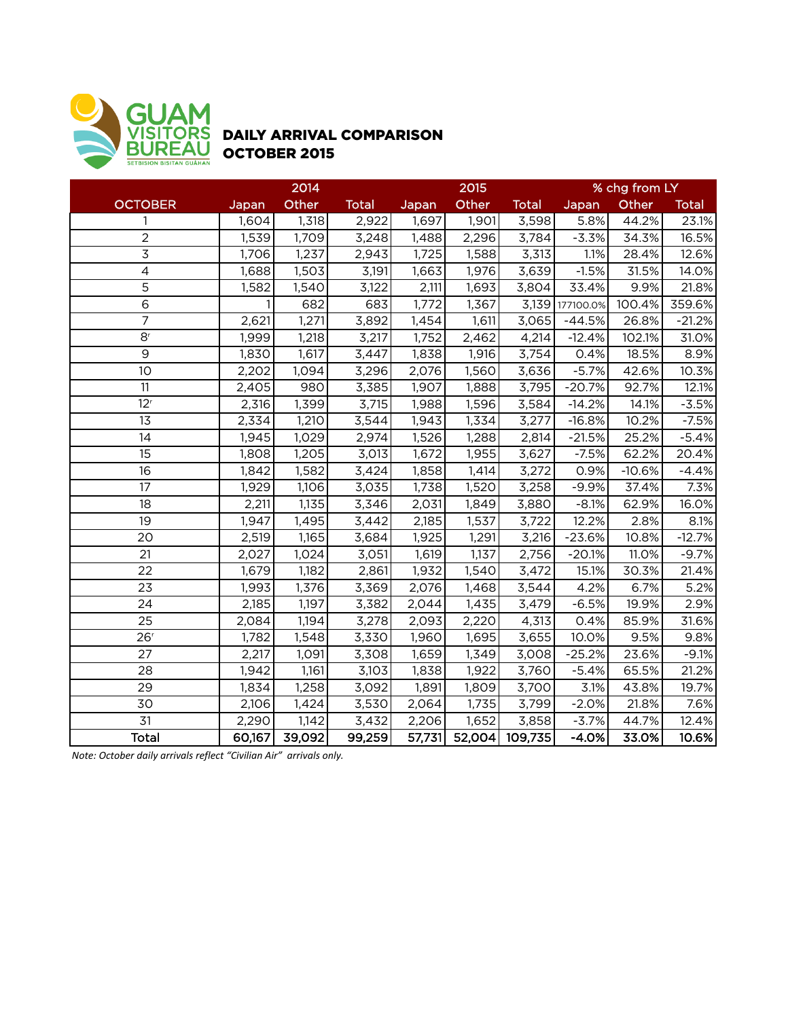

## DAILY ARRIVAL COMPARISON OCTOBER 2015

|                 | 2014   |        |              |        | 2015               |              | % chg from LY |          |              |  |
|-----------------|--------|--------|--------------|--------|--------------------|--------------|---------------|----------|--------------|--|
| <b>OCTOBER</b>  | Japan  | Other  | <b>Total</b> | Japan  | Other              | <b>Total</b> | Japan         | Other    | <b>Total</b> |  |
| 1               | 1,604  | 1,318  | 2,922        | 1,697  | 1,901              | 3,598        | 5.8%          | 44.2%    | 23.1%        |  |
| $\overline{2}$  | 1,539  | 1,709  | 3,248        | 1,488  | 2,296              | 3,784        | $-3.3%$       | 34.3%    | 16.5%        |  |
| 3               | 1,706  | 1,237  | 2,943        | 1,725  | 1,588              | 3,313        | 1.1%          | 28.4%    | 12.6%        |  |
| $\overline{4}$  | 1,688  | 1,503  | 3,191        | 1,663  | 1,976              | 3,639        | $-1.5%$       | 31.5%    | 14.0%        |  |
| 5               | 1,582  | 1,540  | 3,122        | 2,111  | 1,693              | 3,804        | 33.4%         | 9.9%     | 21.8%        |  |
| $6\,$           |        | 682    | 683          | 1,772  | 1,367              | 3,139        | 177100.0%     | 100.4%   | 359.6%       |  |
| $\overline{7}$  | 2,621  | 1,271  | 3,892        | 1,454  | 1,611              | 3,065        | $-44.5%$      | 26.8%    | $-21.2%$     |  |
| 8 <sup>r</sup>  | 1,999  | 1,218  | 3,217        | 1,752  | 2,462              | 4,214        | $-12.4%$      | 102.1%   | 31.0%        |  |
| 9               | 1,830  | 1,617  | 3,447        | 1,838  | 1,916              | 3,754        | 0.4%          | 18.5%    | 8.9%         |  |
| 10              | 2,202  | 1,094  | 3,296        | 2,076  | 1,560              | 3,636        | $-5.7%$       | 42.6%    | 10.3%        |  |
| 11              | 2,405  | 980    | 3,385        | 1,907  | 1,888              | 3,795        | $-20.7%$      | 92.7%    | 12.1%        |  |
| 12 <sup>r</sup> | 2,316  | 1,399  | 3,715        | 1,988  | 1,596              | 3,584        | $-14.2%$      | 14.1%    | $-3.5%$      |  |
| 13              | 2,334  | 1,210  | 3,544        | 1,943  | 1,334              | 3,277        | $-16.8%$      | 10.2%    | $-7.5%$      |  |
| 14              | 1,945  | 1,029  | 2,974        | 1,526  | 1,288              | 2,814        | $-21.5%$      | 25.2%    | $-5.4%$      |  |
| 15              | 1,808  | 1,205  | 3,013        | 1,672  | 1,955              | 3,627        | $-7.5%$       | 62.2%    | 20.4%        |  |
| 16              | 1,842  | 1,582  | 3,424        | 1,858  | 1,414              | 3,272        | 0.9%          | $-10.6%$ | $-4.4%$      |  |
| 17              | 1,929  | 1,106  | 3,035        | 1,738  | 1,520              | 3,258        | $-9.9%$       | 37.4%    | 7.3%         |  |
| 18              | 2,211  | 1,135  | 3,346        | 2,031  | 1,849              | 3,880        | $-8.1%$       | 62.9%    | 16.0%        |  |
| 19              | 1,947  | 1,495  | 3,442        | 2,185  | 1,537              | 3,722        | 12.2%         | 2.8%     | 8.1%         |  |
| 20              | 2,519  | 1,165  | 3,684        | 1,925  | 1,291              | 3,216        | $-23.6%$      | 10.8%    | $-12.7%$     |  |
| 21              | 2,027  | 1,024  | 3,051        | 1,619  | $\overline{1,137}$ | 2,756        | $-20.1%$      | 11.0%    | $-9.7%$      |  |
| 22              | 1,679  | 1,182  | 2,861        | 1,932  | 1,540              | 3,472        | 15.1%         | 30.3%    | 21.4%        |  |
| 23              | 1,993  | 1,376  | 3,369        | 2,076  | 1,468              | 3,544        | 4.2%          | 6.7%     | 5.2%         |  |
| 24              | 2,185  | 1,197  | 3,382        | 2,044  | 1,435              | 3,479        | $-6.5%$       | 19.9%    | 2.9%         |  |
| 25              | 2,084  | 1,194  | 3,278        | 2,093  | 2,220              | 4,313        | 0.4%          | 85.9%    | 31.6%        |  |
| 26 <sup>r</sup> | 1,782  | 1,548  | 3,330        | 1,960  | 1,695              | 3,655        | 10.0%         | 9.5%     | 9.8%         |  |
| 27              | 2,217  | 1,091  | 3,308        | 1,659  | 1,349              | 3,008        | $-25.2%$      | 23.6%    | $-9.1%$      |  |
| 28              | 1,942  | 1,161  | 3,103        | 1,838  | 1,922              | 3,760        | $-5.4%$       | 65.5%    | 21.2%        |  |
| 29              | 1,834  | 1,258  | 3,092        | 1,891  | 1,809              | 3,700        | 3.1%          | 43.8%    | 19.7%        |  |
| 30              | 2,106  | 1,424  | 3,530        | 2,064  | 1,735              | 3,799        | $-2.0%$       | 21.8%    | 7.6%         |  |
| $\overline{31}$ | 2,290  | 1,142  | 3,432        | 2,206  | 1,652              | 3,858        | $-3.7%$       | 44.7%    | 12.4%        |  |
| <b>Total</b>    | 60,167 | 39,092 | 99,259       | 57,731 | 52,004             | 109,735      | $-4.0%$       | 33.0%    | 10.6%        |  |

*Note: October daily arrivals reflect "Civilian Air" arrivals only.*